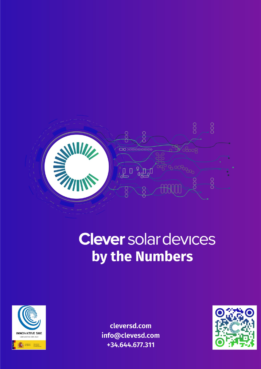

# **Clever** solar devices by the Numbers



cleversd.com info@clevesd.com +34.644.677.311

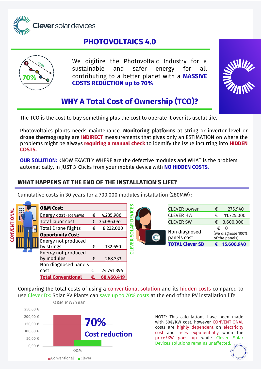

## **PHOTOVOLTAICS 4.0**



We digitize the Photovoltaic Industry for a sustainable and safer energy for all contributing to a better planet with a **MASSIVE COSTS REDUCTION up to 70%**



# **WHY A Total Cost of Ownership (TCO)?**

The TCO is the cost to buy something plus the cost to operate it over its useful life.

Photovoltaics plants needs maintenance. **Monitoring platforms** at string or invertor level or **drone thermography** are **INDIRECT** measurements that gives only an ESTIMATION on where the problems might be always **requiring a manual check** to identify the issue incurring into **HIDDEN COSTS.**

**OUR SOLUTION:** KNOW EXACTLY WHERE are the defective modules and WHAT is the problem automatically, in JUST 3-Clicks from your mobile device with **NO HIDDEN COSTS.** 

#### **WHAT HAPPENS AT THE END OF THE INSTALLATION'S LIFE?**

Cumulative costs in 30 years for a 700.000 modules installation (280MW) :

|                     | H |  | <b>O&amp;M Cost:</b>  |   |                           |                              |                                     | <b>CLEVER</b> power    | € | 275.940    |
|---------------------|---|--|-----------------------|---|---------------------------|------------------------------|-------------------------------------|------------------------|---|------------|
| <b>CONVENTIONAL</b> |   |  | Energy cost (50€/MWh) | € | 4.235.986                 | ш                            |                                     | <b>CLEVER HW</b>       | € | 11.725.000 |
|                     |   |  | Total labor cost      | € | 35.086.042                | ≃                            |                                     | <b>CLEVER SW</b>       | € | 3.600.000  |
|                     |   |  | Total Drone flights   | € | 8.232.000                 |                              |                                     |                        | € | $\Omega$   |
|                     |   |  | Opportunity Cost:     |   | <b>SANALLY STATE</b><br>ഗ | Non diagnosed<br>panels cost | (we diagnose 100%<br>of the panels) |                        |   |            |
|                     |   |  | Energy not produced   |   |                           | ≃<br>ш                       |                                     |                        |   |            |
|                     |   |  | by strings            | € | 132.650                   | π                            |                                     | <b>TOTAL Clever SD</b> | € | 15.600.940 |
|                     |   |  | Energy not produced   |   |                           |                              |                                     |                        |   |            |
|                     |   |  | by modules            | € | 268.333                   |                              |                                     |                        |   |            |
|                     |   |  | Non diagnosed panels  |   |                           |                              |                                     |                        |   |            |
|                     |   |  | cost                  |   | 24.741.394                |                              |                                     |                        |   |            |

Comparing the total costs of using a conventional solution and its hidden costs compared to use Clever Dx: Solar PV Plants can save up to 70% costs at the end of the PV installation life.



**Total Conventional €. 68.460.419**

NOTE: This calculations have been made with 50€/KW cost, however CONVENTIONAL costs are highly dependent on electricity cost and rises exponentially when the price/KW goes up while Clever Solar Devices solutions remains unaffected.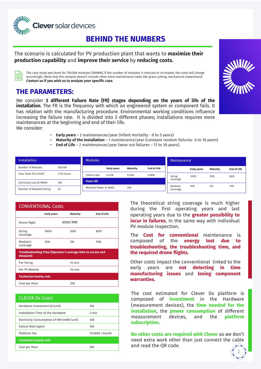

## **BEHIND THE NUMBERS**

#### The scenario is calculated for PV production plant that wants to **maximize their production capability** and **improve their service** by **reducing costs.**

The case study was done for 700.000 modules (280MW), if the number of modules is reduced or increased, the costs will change accordingly. (Note that this analysis doesn't include other extra maintenance tasks like grass cutting, mechanical inspections). **Contact us if you wish us to analyze your specific case.**

### **THE PARAMETERS:**

We consider **3 different Failure Rate (FR) stages depending on the years of life of the installation**. The FR is the frequency with which an engineered system or component fails. It has relation with the manufacturing procedure. Environmental working conditions influence increasing the failure rate. It is divided into 3 different phases; installations requires more maintenances at the beginning and end of their life. We consider:



- **Early years** 2 maintenances/year (Infant mortality 0 to 5 years)
- **Maturity of the installation** 1 maintenance/year (constant random failures- 6 to 16 years)
- **End of Life** 2 maintenances/year (wear out failures 17 to 30 years).

| <b>Installation</b>      |             | <b>Modules</b>         |                    |          |                    | <b>Maintenance</b>  |                    |                 |                    |
|--------------------------|-------------|------------------------|--------------------|----------|--------------------|---------------------|--------------------|-----------------|--------------------|
| Number of Modules        | 700.000     |                        | <b>Early years</b> | Maturity | <b>End of Life</b> |                     | <b>Early years</b> | <b>Maturity</b> | <b>End of Life</b> |
| Hour Solar Pick (HSP)    | 1.752 hours | Failure rate           | 0.44%<br>0,25%     |          | 0,88%              | String              | 100%               | 50%             | 80%                |
| Electricity Cost (€/MWh) | 100         | Power (W)              |                    |          |                    | coverage            |                    |                 |                    |
| Number of Modules/String | 20          | Modules Power in Watts |                    | 400      |                    | Modules<br>Coverage | 10%                | 5%              | 15%                |

| <b>CONVENTIONAL Costs</b>                                                |                    |                  |                    |  |  |  |  |  |
|--------------------------------------------------------------------------|--------------------|------------------|--------------------|--|--|--|--|--|
|                                                                          | <b>Early years</b> | Maturity         | <b>End of Life</b> |  |  |  |  |  |
| Drone flight                                                             |                    | 600€/MW          |                    |  |  |  |  |  |
| String<br>coverage                                                       | 100%               | 50%              | 80%                |  |  |  |  |  |
| Module's<br>coverage                                                     | 10%                | 5%               | 15%                |  |  |  |  |  |
| Troubleshooting Time (Operator's average time to access and<br>measure): |                    |                  |                    |  |  |  |  |  |
| Per String                                                               |                    | $15 \text{ min}$ |                    |  |  |  |  |  |
| Per PV Module                                                            |                    | $10 \text{ min}$ |                    |  |  |  |  |  |
| <b>Technician hourly cost</b>                                            |                    |                  |                    |  |  |  |  |  |
| Cost per Hour                                                            |                    | 35€              |                    |  |  |  |  |  |

| <b>CLEVER Dx Costs</b>                   |               |
|------------------------------------------|---------------|
| Hardware Investment $(f$ unit)           | 15€           |
| Installation Time of the Hardware        | 2 min         |
| Electricity Consumption of HW (mWh/unit) | 300           |
| Failure Rate (ppm)                       | 100           |
| Platform Fee                             | 10.000€/month |
| <b>Technician hourly cost</b>            |               |
| Cost per Hour                            | 35€           |

The theoretical string coverage is much higher during the first operating years and last operating years due to the **greater possibility to incur in failures**. In the same way with individual PV module inspection.

The **Cost for conventional** maintenance is composed of the **energy lost due to troubleshooting, the troubleshooting time, and the required drone flights.**

Other costs impact the conventional linked to the early years are **not detecting in time manufacturing issues** and **losing component warranties.**

The cost estimated for Clever Dx platform is composed of **investment** in the Hardware (measurement devices), the **time needed for the installation**, the **power consumption** of different measurement devices, and the **platform subscription**.

**No other costs are required with Clever** as we don't need extra work other than just connect the cable and read the QR code.